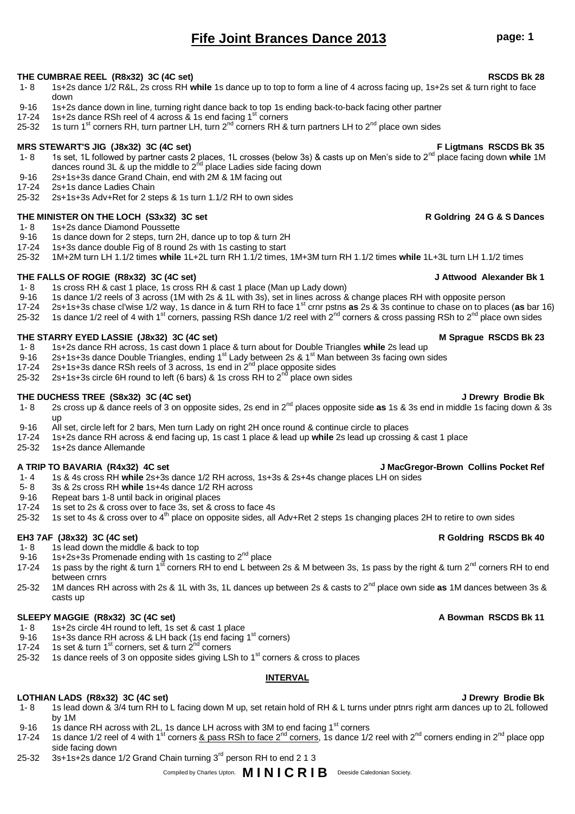# **Fife Joint Brances Dance 2013 page: 1**

# **THE CUMBRAE REEL (R8x32) 3C (4C set) RSCDS Bk 28**

- 1- 8 1s+2s dance 1/2 R&L, 2s cross RH **while** 1s dance up to top to form a line of 4 across facing up, 1s+2s set & turn right to face down
- 9-16 1s+2s dance down in line, turning right dance back to top 1s ending back-to-back facing other partner
- 17-24 1s+2s dance RSh reel of 4 across  $\&$  1s end facing 1<sup>st</sup> corners
- 25-32 1s turn 1<sup>st</sup> corners RH, turn partner LH, turn  $2^{nd}$  corners RH & turn partners LH to  $2^{nd}$  place own sides

# **MRS STEWART'S JIG (J8x32) 3C (4C set) F Ligtmans RSCDS Bk 35**

- 1- 8 1s set, 1L followed by partner casts 2 places, 1L crosses (below 3s) & casts up on Men's side to 2nd place facing down **while** 1M dances round 3L & up the middle to 2<sup>nd</sup> place Ladies side facing down
- 9-16 2s+1s+3s dance Grand Chain, end with 2M & 1M facing out 17-24 2s+1s dance Ladies Chain
- 2s+1s dance Ladies Chain
- 25-32 2s+1s+3s Adv+Ret for 2 steps & 1s turn 1.1/2 RH to own sides

# **THE MINISTER ON THE LOCH (S3x32) 3C set R Goldring 24 G & S Dances**

- 1- 8 1s+2s dance Diamond Poussette<br>9-16 1s dance down for 2 steps, turn 2
- 1s dance down for 2 steps, turn 2H, dance up to top & turn 2H
- 17-24 1s+3s dance double Fig of 8 round 2s with 1s casting to start
- 25-32 1M+2M turn LH 1.1/2 times **while** 1L+2L turn RH 1.1/2 times, 1M+3M turn RH 1.1/2 times **while** 1L+3L turn LH 1.1/2 times

# **THE FALLS OF ROGIE (R8x32) 3C (4C set) J Attwood Alexander Bk 1**

- 1- 8 1s cross RH & cast 1 place, 1s cross RH & cast 1 place (Man up Lady down)
- 9-16 1s dance 1/2 reels of 3 across (1M with 2s & 1L with 3s), set in lines across & change places RH with opposite person
- 17-24 2s+1s+3s chase cl'wise 1/2 way, 1s dance in & turn RH to face 1st crnr pstns **as** 2s & 3s continue to chase on to places (**as** bar 16)
- 25-32 1s dance 1/2 reel of 4 with 1<sup>st</sup> corners, passing RSh dance 1/2 reel with 2<sup>nd</sup> corners & cross passing RSh to 2<sup>nd</sup> place own sides

# **THE STARRY EYED LASSIE (J8x32) 3C (4C set) M Sprague RSCDS Bk 23**

- 1- 8 1s+2s dance RH across, 1s cast down 1 place & turn about for Double Triangles **while** 2s lead up
- 9-16 2s+1s+3s dance Double Triangles, ending 1<sup>st</sup> Lady between 2s & 1<sup>st</sup> Man between 3s facing own sides<br>17-24 2s+1s+3s dance RSh reels of 3 across 1s end in 2<sup>nd</sup> place opposite sides
- 2s+1s+3s dance RSh reels of 3 across, 1s end in  $2<sup>nd</sup>$  place opposite sides
- 25-32 2s+1s+3s circle 6H round to left (6 bars) & 1s cross RH to  $2^{nd}$  place own sides

## **THE DUCHESS TREE (S8x32) 3C (4C set) J Drewry Brodie Bk**

- 1- 8 2s cross up & dance reels of 3 on opposite sides, 2s end in 2nd places opposite side **as** 1s & 3s end in middle 1s facing down & 3s up
- 9-16 All set, circle left for 2 bars, Men turn Lady on right 2H once round & continue circle to places<br>17-24 1s+2s dance RH across & end facing up. 1s cast 1 place & lead up while 2s lead up crossing
- 17-24 1s+2s dance RH across & end facing up, 1s cast 1 place & lead up **while** 2s lead up crossing & cast 1 place
- 25-32 1s+2s dance Allemande

### **A TRIP TO BAVARIA (R4x32) 4C set J MacGregor-Brown Collins Pocket Ref**

- 1- 4 1s & 4s cross RH **while** 2s+3s dance 1/2 RH across, 1s+3s & 2s+4s change places LH on sides
- 5- 8 3s & 2s cross RH **while** 1s+4s dance 1/2 RH across
- 
- 9-16 Repeat bars 1-8 until back in original places<br>17-24 1s set to 2s & cross over to face 3s, set & cross 1s set to 2s & cross over to face 3s, set & cross to face 4s
- 25-32 1s set to 4s & cross over to 4<sup>th</sup> place on opposite sides, all Adv+Ret 2 steps 1s changing places 2H to retire to own sides

### **EH3 7AF (J8x32) 3C (4C set) R Goldring RSCDS Bk 40**

- 1- 8 1s lead down the middle & back to top<br>9-16 1s+2s+3s Promenade ending with 1s of
- 1s+2s+3s Promenade ending with 1s casting to 2<sup>nd</sup> place
- 17-24 1s pass by the right & turn 1<sup>st</sup> corners RH to end L between 2s & M between 3s, 1s pass by the right & turn 2<sup>nd</sup> corners RH to end between crnrs
- 25-32 1M dances RH across with 2s & 1L with 3s, 1L dances up between 2s & casts to 2nd place own side **as** 1M dances between 3s & casts up

# **SLEEPY MAGGIE (R8x32) 3C (4C set) A Bowman RSCDS Bk 11**

- 1- 8 1s+2s circle 4H round to left, 1s set & cast 1 place
- 9-16 1s+3s dance RH across & LH back (1s end facing 1<sup>st</sup> corners)
- 17-24 1s set & turn 1<sup>st</sup> corners, set & turn  $2^{nd}$  corners
- 17-24 1s set & turn 1<sup>st</sup> corners, set & turn 2<sup>nd</sup> corners<br>25-32 1s dance reels of 3 on opposite sides giving LSh to 1<sup>st</sup> corners & cross to places

# **INTERVAL**

# **LOTHIAN LADS (R8x32) 3C (4C set) J Drewry Brodie Bk**

- 1- 8 1s lead down & 3/4 turn RH to L facing down M up, set retain hold of RH & L turns under ptnrs right arm dances up to 2L followed by 1M
- 9-16 1s dance RH across with 2L, 1s dance LH across with 3M to end facing 1<sup>st</sup> corners
- 17-24 1s dance 1/2 reel of 4 with 1<sup>st</sup> corners <u>& pass RSh to face 2<sup>nd</sup> corners</u>, 1s dance 1/2 reel with 2<sup>nd</sup> corners ending in 2<sup>nd</sup> place opp side facing down
- 25-32 3s+1s+2s dance 1/2 Grand Chain turning 3<sup>rd</sup> person RH to end 2 1 3